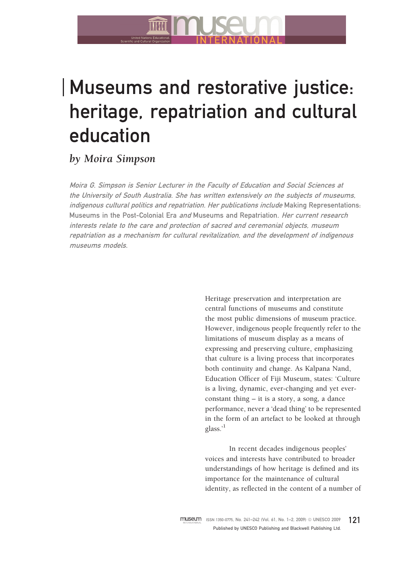

# Museums and restorative justice: heritage, repatriation and cultural education

by Moira Simpson

Moira G. Simpson is Senior Lecturer in the Faculty of Education and Social Sciences at the University of South Australia. She has written extensively on the subjects of museums, indigenous cultural politics and repatriation. Her publications include Making Representations: Museums in the Post-Colonial Era and Museums and Repatriation. Her current research interests relate to the care and protection of sacred and ceremonial objects, museum repatriation as <sup>a</sup> mechanism for cultural revitalization, and the development of indigenous museums models.

> Heritage preservation and interpretation are central functions of museums and constitute the most public dimensions of museum practice. However, indigenous people frequently refer to the limitations of museum display as a means of expressing and preserving culture, emphasizing that culture is a living process that incorporates both continuity and change. As Kalpana Nand, Education Officer of Fiji Museum, states: 'Culture is a living, dynamic, ever-changing and yet everconstant thing – it is a story, a song, a dance performance, never a 'dead thing' to be represented in the form of an artefact to be looked at through glass.'<sup>1</sup>

> In recent decades indigenous peoples' voices and interests have contributed to broader understandings of how heritage is defined and its importance for the maintenance of cultural identity, as reflected in the content of a number of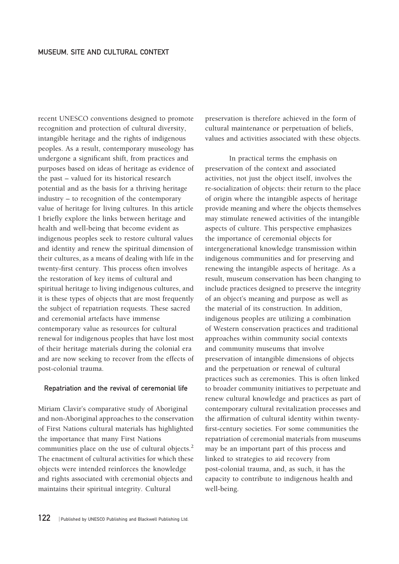recent UNESCO conventions designed to promote recognition and protection of cultural diversity, intangible heritage and the rights of indigenous peoples. As a result, contemporary museology has undergone a significant shift, from practices and purposes based on ideas of heritage as evidence of the past – valued for its historical research potential and as the basis for a thriving heritage industry – to recognition of the contemporary value of heritage for living cultures. In this article I briefly explore the links between heritage and health and well-being that become evident as indigenous peoples seek to restore cultural values and identity and renew the spiritual dimension of their cultures, as a means of dealing with life in the twenty-first century. This process often involves the restoration of key items of cultural and spiritual heritage to living indigenous cultures, and it is these types of objects that are most frequently the subject of repatriation requests. These sacred and ceremonial artefacts have immense contemporary value as resources for cultural renewal for indigenous peoples that have lost most of their heritage materials during the colonial era and are now seeking to recover from the effects of post-colonial trauma.

#### Repatriation and the revival of ceremonial life

Miriam Clavir's comparative study of Aboriginal and non-Aboriginal approaches to the conservation of First Nations cultural materials has highlighted the importance that many First Nations communities place on the use of cultural objects.<sup>2</sup> The enactment of cultural activities for which these objects were intended reinforces the knowledge and rights associated with ceremonial objects and maintains their spiritual integrity. Cultural

preservation is therefore achieved in the form of cultural maintenance or perpetuation of beliefs, values and activities associated with these objects.

In practical terms the emphasis on preservation of the context and associated activities, not just the object itself, involves the re-socialization of objects: their return to the place of origin where the intangible aspects of heritage provide meaning and where the objects themselves may stimulate renewed activities of the intangible aspects of culture. This perspective emphasizes the importance of ceremonial objects for intergenerational knowledge transmission within indigenous communities and for preserving and renewing the intangible aspects of heritage. As a result, museum conservation has been changing to include practices designed to preserve the integrity of an object's meaning and purpose as well as the material of its construction. In addition, indigenous peoples are utilizing a combination of Western conservation practices and traditional approaches within community social contexts and community museums that involve preservation of intangible dimensions of objects and the perpetuation or renewal of cultural practices such as ceremonies. This is often linked to broader community initiatives to perpetuate and renew cultural knowledge and practices as part of contemporary cultural revitalization processes and the affirmation of cultural identity within twentyfirst-century societies. For some communities the repatriation of ceremonial materials from museums may be an important part of this process and linked to strategies to aid recovery from post-colonial trauma, and, as such, it has the capacity to contribute to indigenous health and well-being.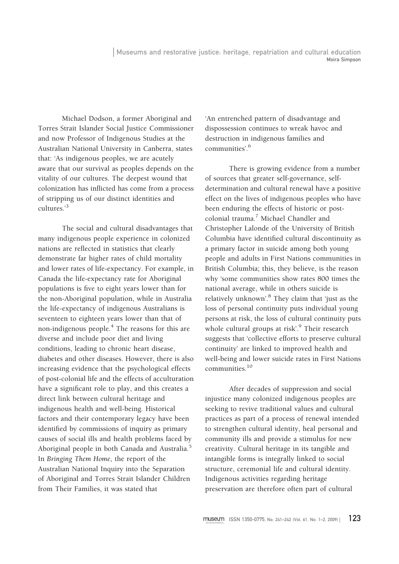Michael Dodson, a former Aboriginal and Torres Strait Islander Social Justice Commissioner and now Professor of Indigenous Studies at the Australian National University in Canberra, states that: 'As indigenous peoples, we are acutely aware that our survival as peoples depends on the vitality of our cultures. The deepest wound that colonization has inflicted has come from a process of stripping us of our distinct identities and cultures.'3

The social and cultural disadvantages that many indigenous people experience in colonized nations are reflected in statistics that clearly demonstrate far higher rates of child mortality and lower rates of life-expectancy. For example, in Canada the life-expectancy rate for Aboriginal populations is five to eight years lower than for the non-Aboriginal population, while in Australia the life-expectancy of indigenous Australians is seventeen to eighteen years lower than that of non-indigenous people.<sup> $4$ </sup> The reasons for this are diverse and include poor diet and living conditions, leading to chronic heart disease, diabetes and other diseases. However, there is also increasing evidence that the psychological effects of post-colonial life and the effects of acculturation have a significant role to play, and this creates a direct link between cultural heritage and indigenous health and well-being. Historical factors and their contemporary legacy have been identified by commissions of inquiry as primary causes of social ills and health problems faced by Aboriginal people in both Canada and Australia.<sup>5</sup> In Bringing Them Home, the report of the Australian National Inquiry into the Separation of Aboriginal and Torres Strait Islander Children from Their Families, it was stated that

'An entrenched pattern of disadvantage and dispossession continues to wreak havoc and destruction in indigenous families and communities'.6

There is growing evidence from a number of sources that greater self-governance, selfdetermination and cultural renewal have a positive effect on the lives of indigenous peoples who have been enduring the effects of historic or postcolonial trauma.7 Michael Chandler and Christopher Lalonde of the University of British Columbia have identified cultural discontinuity as a primary factor in suicide among both young people and adults in First Nations communities in British Columbia; this, they believe, is the reason why 'some communities show rates 800 times the national average, while in others suicide is relatively unknown'.8 They claim that 'just as the loss of personal continuity puts individual young persons at risk, the loss of cultural continuity puts whole cultural groups at risk'.<sup>9</sup> Their research suggests that 'collective efforts to preserve cultural continuity' are linked to improved health and well-being and lower suicide rates in First Nations communities.10

After decades of suppression and social injustice many colonized indigenous peoples are seeking to revive traditional values and cultural practices as part of a process of renewal intended to strengthen cultural identity, heal personal and community ills and provide a stimulus for new creativity. Cultural heritage in its tangible and intangible forms is integrally linked to social structure, ceremonial life and cultural identity. Indigenous activities regarding heritage preservation are therefore often part of cultural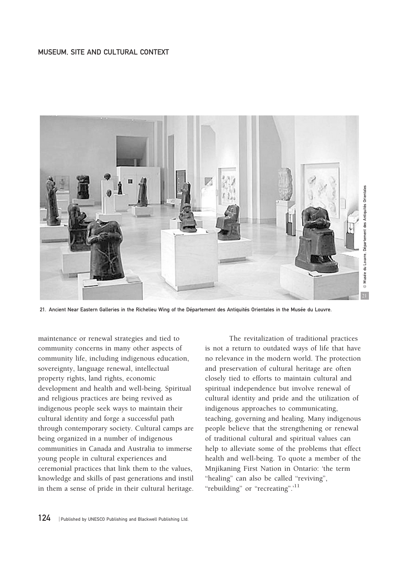## MUSEUM, SITE AND CULTURAL CONTEXT



21. Ancient Near Eastern Galleries in the Richelieu Wing of the Département des Antiquités Orientales in the Musée du Louvre.

maintenance or renewal strategies and tied to community concerns in many other aspects of community life, including indigenous education, sovereignty, language renewal, intellectual property rights, land rights, economic development and health and well-being. Spiritual and religious practices are being revived as indigenous people seek ways to maintain their cultural identity and forge a successful path through contemporary society. Cultural camps are being organized in a number of indigenous communities in Canada and Australia to immerse young people in cultural experiences and ceremonial practices that link them to the values, knowledge and skills of past generations and instil in them a sense of pride in their cultural heritage.

The revitalization of traditional practices is not a return to outdated ways of life that have no relevance in the modern world. The protection and preservation of cultural heritage are often closely tied to efforts to maintain cultural and spiritual independence but involve renewal of cultural identity and pride and the utilization of indigenous approaches to communicating, teaching, governing and healing. Many indigenous people believe that the strengthening or renewal of traditional cultural and spiritual values can help to alleviate some of the problems that effect health and well-being. To quote a member of the Mnjikaning First Nation in Ontario: 'the term ''healing'' can also be called ''reviving'', "rebuilding" or "recreating".<sup>11</sup>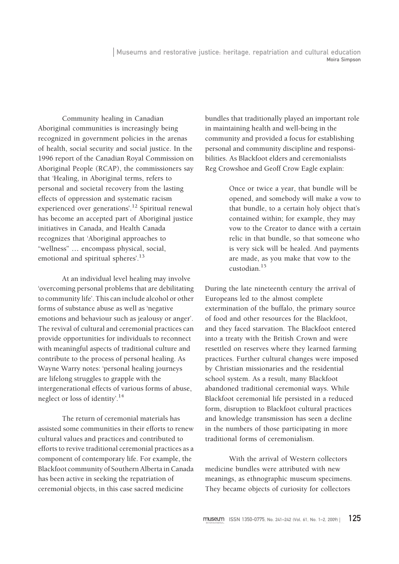Museums and restorative justice: heritage, repatriation and cultural education Moira Simpson

Community healing in Canadian Aboriginal communities is increasingly being recognized in government policies in the arenas of health, social security and social justice. In the 1996 report of the Canadian Royal Commission on Aboriginal People (RCAP), the commissioners say that 'Healing, in Aboriginal terms, refers to personal and societal recovery from the lasting effects of oppression and systematic racism experienced over generations'.<sup>12</sup> Spiritual renewal has become an accepted part of Aboriginal justice initiatives in Canada, and Health Canada recognizes that 'Aboriginal approaches to ''wellness'' … encompass physical, social, emotional and spiritual spheres'.<sup>13</sup>

At an individual level healing may involve 'overcoming personal problems that are debilitating to community life'. This can include alcohol or other forms of substance abuse as well as 'negative emotions and behaviour such as jealousy or anger'. The revival of cultural and ceremonial practices can provide opportunities for individuals to reconnect with meaningful aspects of traditional culture and contribute to the process of personal healing. As Wayne Warry notes: 'personal healing journeys are lifelong struggles to grapple with the intergenerational effects of various forms of abuse, neglect or loss of identity'.14

The return of ceremonial materials has assisted some communities in their efforts to renew cultural values and practices and contributed to efforts to revive traditional ceremonial practices as a component of contemporary life. For example, the Blackfoot community of Southern Alberta in Canada has been active in seeking the repatriation of ceremonial objects, in this case sacred medicine

bundles that traditionally played an important role in maintaining health and well-being in the community and provided a focus for establishing personal and community discipline and responsibilities. As Blackfoot elders and ceremonialists Reg Crowshoe and Geoff Crow Eagle explain:

> Once or twice a year, that bundle will be opened, and somebody will make a vow to that bundle, to a certain holy object that's contained within; for example, they may vow to the Creator to dance with a certain relic in that bundle, so that someone who is very sick will be healed. And payments are made, as you make that vow to the custodian.15

During the late nineteenth century the arrival of Europeans led to the almost complete extermination of the buffalo, the primary source of food and other resources for the Blackfoot, and they faced starvation. The Blackfoot entered into a treaty with the British Crown and were resettled on reserves where they learned farming practices. Further cultural changes were imposed by Christian missionaries and the residential school system. As a result, many Blackfoot abandoned traditional ceremonial ways. While Blackfoot ceremonial life persisted in a reduced form, disruption to Blackfoot cultural practices and knowledge transmission has seen a decline in the numbers of those participating in more traditional forms of ceremonialism.

With the arrival of Western collectors medicine bundles were attributed with new meanings, as ethnographic museum specimens. They became objects of curiosity for collectors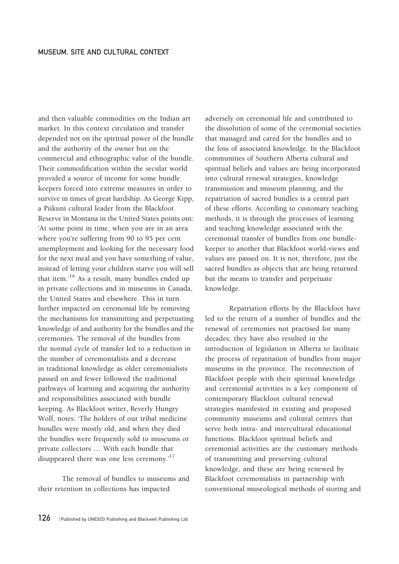and then valuable commodities on the Indian art market. In this context circulation and transfer depended not on the spiritual power of the bundle and the authority of the owner but on the commercial and ethnographic value of the bundle. Their commodification within the secular world provided a source of income for some bundle keepers forced into extreme measures in order to survive in times of great hardship. As George Kipp, a Piikuni cultural leader from the Blackfoot Reserve in Montana in the United States points out: 'At some point in time, when you are in an area where you're suffering from 90 to 95 per cent unemployment and looking for the necessary food for the next meal and you have something of value, instead of letting your children starve you will sell that item.'<sup>16</sup> As a result, many bundles ended up in private collections and in museums in Canada, the United States and elsewhere. This in turn further impacted on ceremonial life by removing the mechanisms for transmitting and perpetuating knowledge of and authority for the bundles and the ceremonies. The removal of the bundles from the normal cycle of transfer led to a reduction in the number of ceremonialists and a decrease in traditional knowledge as older ceremonialists passed on and fewer followed the traditional pathways of learning and acquiring the authority and responsibilities associated with bundle keeping. As Blackfoot writer, Beverly Hungry Wolf, notes: 'The holders of our tribal medicine bundles were mostly old, and when they died the bundles were frequently sold to museums or private collectors … With each bundle that disappeared there was one less ceremony.'<sup>17</sup>

The removal of bundles to museums and their retention in collections has impacted

adversely on ceremonial life and contributed to the dissolution of some of the ceremonial societies that managed and cared for the bundles and to the loss of associated knowledge. In the Blackfoot communities of Southern Alberta cultural and spiritual beliefs and values are being incorporated into cultural renewal strategies, knowledge transmission and museum planning, and the repatriation of sacred bundles is a central part of these efforts. According to customary teaching methods, it is through the processes of learning and teaching knowledge associated with the ceremonial transfer of bundles from one bundlekeeper to another that Blackfoot world-views and values are passed on. It is not, therefore, just the sacred bundles as objects that are being returned but the means to transfer and perpetuate knowledge.

Repatriation efforts by the Blackfoot have led to the return of a number of bundles and the renewal of ceremonies not practised for many decades; they have also resulted in the introduction of legislation in Alberta to facilitate the process of repatriation of bundles from major museums in the province. The reconnection of Blackfoot people with their spiritual knowledge and ceremonial activities is a key component of contemporary Blackfoot cultural renewal strategies manifested in existing and proposed community museums and cultural centres that serve both intra- and intercultural educational functions. Blackfoot spiritual beliefs and ceremonial activities are the customary methods of transmitting and preserving cultural knowledge, and these are being renewed by Blackfoot ceremonialists in partnership with conventional museological methods of storing and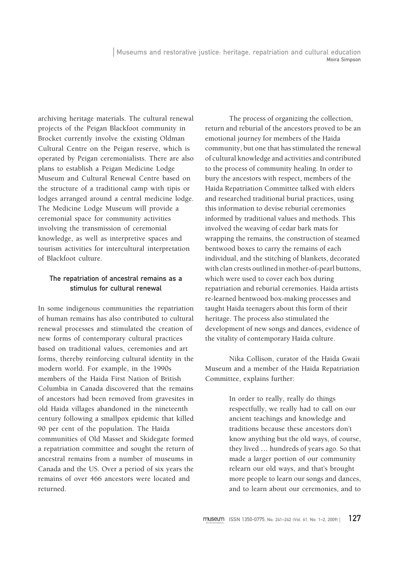Museums and restorative justice: heritage, repatriation and cultural education Moira Simpson

archiving heritage materials. The cultural renewal projects of the Peigan Blackfoot community in Brocket currently involve the existing Oldman Cultural Centre on the Peigan reserve, which is operated by Peigan ceremonialists. There are also plans to establish a Peigan Medicine Lodge Museum and Cultural Renewal Centre based on the structure of a traditional camp with tipis or lodges arranged around a central medicine lodge. The Medicine Lodge Museum will provide a ceremonial space for community activities involving the transmission of ceremonial knowledge, as well as interpretive spaces and tourism activities for intercultural interpretation of Blackfoot culture.

# The repatriation of ancestral remains as a stimulus for cultural renewal

In some indigenous communities the repatriation of human remains has also contributed to cultural renewal processes and stimulated the creation of new forms of contemporary cultural practices based on traditional values, ceremonies and art forms, thereby reinforcing cultural identity in the modern world. For example, in the 1990s members of the Haida First Nation of British Columbia in Canada discovered that the remains of ancestors had been removed from gravesites in old Haida villages abandoned in the nineteenth century following a smallpox epidemic that killed 90 per cent of the population. The Haida communities of Old Masset and Skidegate formed a repatriation committee and sought the return of ancestral remains from a number of museums in Canada and the US. Over a period of six years the remains of over 466 ancestors were located and returned.

The process of organizing the collection, return and reburial of the ancestors proved to be an emotional journey for members of the Haida community, but one that has stimulated the renewal of cultural knowledge and activities and contributed to the process of community healing. In order to bury the ancestors with respect, members of the Haida Repatriation Committee talked with elders and researched traditional burial practices, using this information to devise reburial ceremonies informed by traditional values and methods. This involved the weaving of cedar bark mats for wrapping the remains, the construction of steamed bentwood boxes to carry the remains of each individual, and the stitching of blankets, decorated with clan crests outlined in mother-of-pearl buttons, which were used to cover each box during repatriation and reburial ceremonies. Haida artists re-learned bentwood box-making processes and taught Haida teenagers about this form of their heritage. The process also stimulated the development of new songs and dances, evidence of the vitality of contemporary Haida culture.

Nika Collison, curator of the Haida Gwaii Museum and a member of the Haida Repatriation Committee, explains further:

> In order to really, really do things respectfully, we really had to call on our ancient teachings and knowledge and traditions because these ancestors don't know anything but the old ways, of course, they lived … hundreds of years ago. So that made a larger portion of our community relearn our old ways, and that's brought more people to learn our songs and dances, and to learn about our ceremonies, and to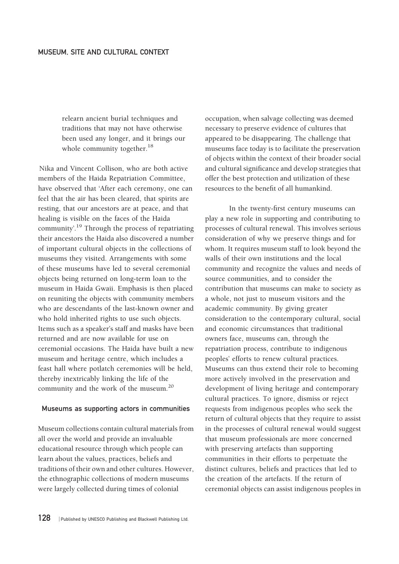relearn ancient burial techniques and traditions that may not have otherwise been used any longer, and it brings our whole community together.<sup>18</sup>

Nika and Vincent Collison, who are both active members of the Haida Repatriation Committee, have observed that 'After each ceremony, one can feel that the air has been cleared, that spirits are resting, that our ancestors are at peace, and that healing is visible on the faces of the Haida community'.19 Through the process of repatriating their ancestors the Haida also discovered a number of important cultural objects in the collections of museums they visited. Arrangements with some of these museums have led to several ceremonial objects being returned on long-term loan to the museum in Haida Gwaii. Emphasis is then placed on reuniting the objects with community members who are descendants of the last-known owner and who hold inherited rights to use such objects. Items such as a speaker's staff and masks have been returned and are now available for use on ceremonial occasions. The Haida have built a new museum and heritage centre, which includes a feast hall where potlatch ceremonies will be held, thereby inextricably linking the life of the community and the work of the museum.20

### Museums as supporting actors in communities

Museum collections contain cultural materials from all over the world and provide an invaluable educational resource through which people can learn about the values, practices, beliefs and traditions of their own and other cultures. However, the ethnographic collections of modern museums were largely collected during times of colonial

occupation, when salvage collecting was deemed necessary to preserve evidence of cultures that appeared to be disappearing. The challenge that museums face today is to facilitate the preservation of objects within the context of their broader social and cultural significance and develop strategies that offer the best protection and utilization of these resources to the benefit of all humankind.

In the twenty-first century museums can play a new role in supporting and contributing to processes of cultural renewal. This involves serious consideration of why we preserve things and for whom. It requires museum staff to look beyond the walls of their own institutions and the local community and recognize the values and needs of source communities, and to consider the contribution that museums can make to society as a whole, not just to museum visitors and the academic community. By giving greater consideration to the contemporary cultural, social and economic circumstances that traditional owners face, museums can, through the repatriation process, contribute to indigenous peoples' efforts to renew cultural practices. Museums can thus extend their role to becoming more actively involved in the preservation and development of living heritage and contemporary cultural practices. To ignore, dismiss or reject requests from indigenous peoples who seek the return of cultural objects that they require to assist in the processes of cultural renewal would suggest that museum professionals are more concerned with preserving artefacts than supporting communities in their efforts to perpetuate the distinct cultures, beliefs and practices that led to the creation of the artefacts. If the return of ceremonial objects can assist indigenous peoples in